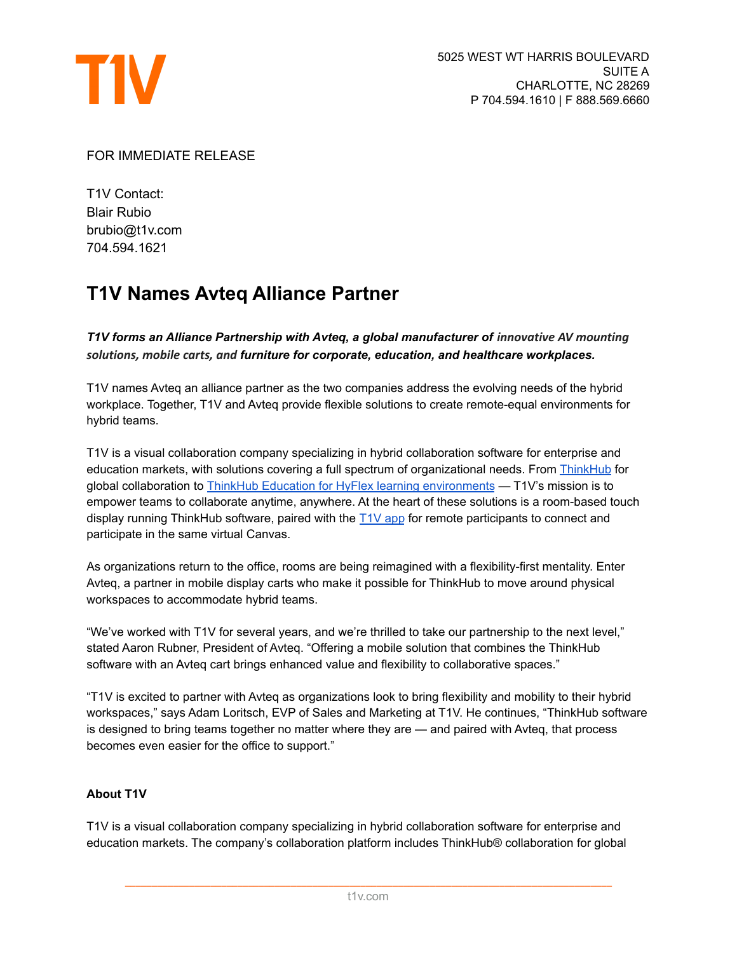

## FOR IMMEDIATE RELEASE

T1V Contact: Blair Rubio brubio@t1v.com 704.594.1621

## **T1V Names Avteq Alliance Partner**

*T1V forms an Alliance Partnership with Avteq, a global manufacturer of innovative AV mounting solutions, mobile carts, and furniture for corporate, education, and healthcare workplaces.*

T1V names Avteq an alliance partner as the two companies address the evolving needs of the hybrid workplace. Together, T1V and Avteq provide flexible solutions to create remote-equal environments for hybrid teams.

T1V is a visual collaboration company specializing in hybrid collaboration software for enterprise and education markets, with solutions covering a full spectrum of organizational needs. From [ThinkHub](https://www.t1v.com/thinkhub) for global collaboration to ThinkHub Education for HyFlex learning [environments](http://www.t1v.com/thinkhub-education) — T1V's mission is to empower teams to collaborate anytime, anywhere. At the heart of these solutions is a room-based touch display running ThinkHub software, paired with the [T1V](https://www.t1v.com/app) app for remote participants to connect and participate in the same virtual Canvas.

As organizations return to the office, rooms are being reimagined with a flexibility-first mentality. Enter Avteq, a partner in mobile display carts who make it possible for ThinkHub to move around physical workspaces to accommodate hybrid teams.

"We've worked with T1V for several years, and we're thrilled to take our partnership to the next level," stated Aaron Rubner, President of Avteq. "Offering a mobile solution that combines the ThinkHub software with an Avteq cart brings enhanced value and flexibility to collaborative spaces."

"T1V is excited to partner with Avteq as organizations look to bring flexibility and mobility to their hybrid workspaces," says Adam Loritsch, EVP of Sales and Marketing at T1V. He continues, "ThinkHub software is designed to bring teams together no matter where they are — and paired with Avteq, that process becomes even easier for the office to support."

## **About T1V**

T1V is a visual collaboration company specializing in hybrid collaboration software for enterprise and education markets. The company's collaboration platform includes ThinkHub® collaboration for global